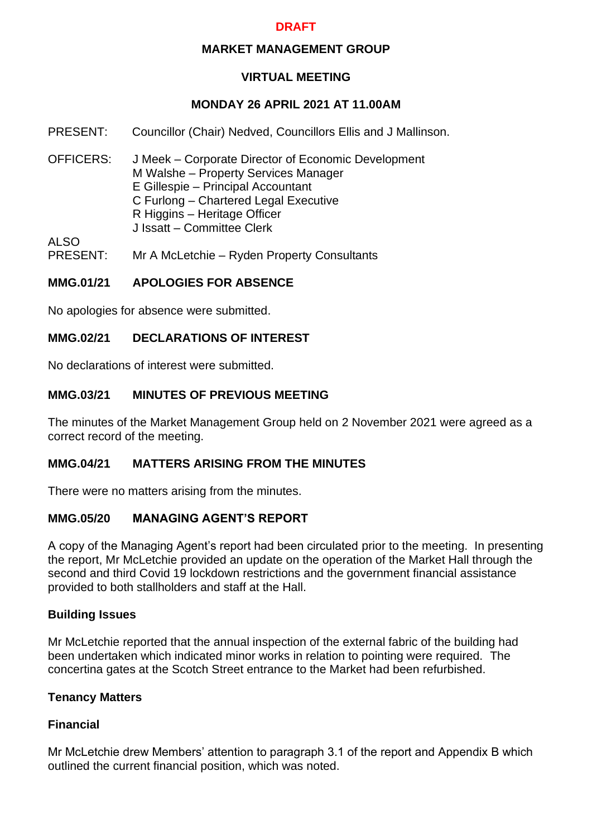# **DRAFT**

### **MARKET MANAGEMENT GROUP**

# **VIRTUAL MEETING**

# **MONDAY 26 APRIL 2021 AT 11.00AM**

- PRESENT: Councillor (Chair) Nedved, Councillors Ellis and J Mallinson.
- OFFICERS: J Meek Corporate Director of Economic Development M Walshe – Property Services Manager E Gillespie – Principal Accountant C Furlong – Chartered Legal Executive R Higgins – Heritage Officer J Issatt – Committee Clerk

ALSO<br>PRESENT: Mr A McLetchie – Ryden Property Consultants

### **MMG.01/21 APOLOGIES FOR ABSENCE**

No apologies for absence were submitted.

### **MMG.02/21 DECLARATIONS OF INTEREST**

No declarations of interest were submitted.

### **MMG.03/21 MINUTES OF PREVIOUS MEETING**

The minutes of the Market Management Group held on 2 November 2021 were agreed as a correct record of the meeting.

### **MMG.04/21 MATTERS ARISING FROM THE MINUTES**

There were no matters arising from the minutes.

## **MMG.05/20 MANAGING AGENT'S REPORT**

A copy of the Managing Agent's report had been circulated prior to the meeting. In presenting the report, Mr McLetchie provided an update on the operation of the Market Hall through the second and third Covid 19 lockdown restrictions and the government financial assistance provided to both stallholders and staff at the Hall.

#### **Building Issues**

Mr McLetchie reported that the annual inspection of the external fabric of the building had been undertaken which indicated minor works in relation to pointing were required. The concertina gates at the Scotch Street entrance to the Market had been refurbished.

#### **Tenancy Matters**

## **Financial**

Mr McLetchie drew Members' attention to paragraph 3.1 of the report and Appendix B which outlined the current financial position, which was noted.